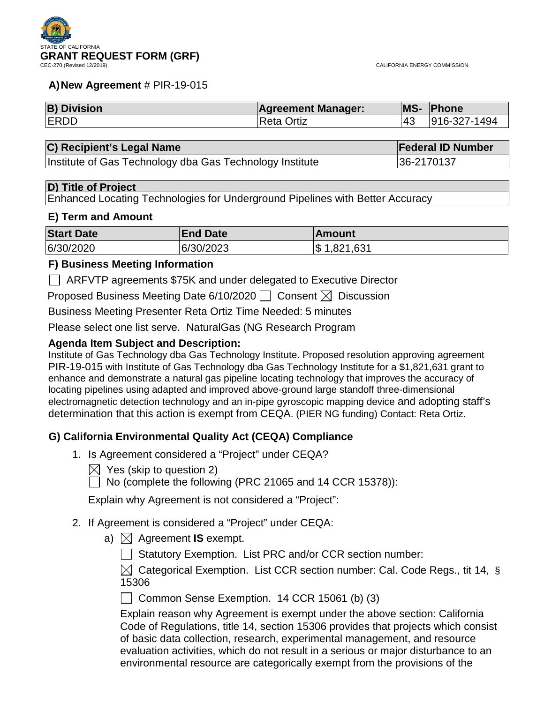#### **A)New Agreement** # PIR-19-015

| <b>B) Division</b> | <b>Agreement Manager:</b> | MS- | <b>Phone</b> |
|--------------------|---------------------------|-----|--------------|
| <b>ERDD</b>        | <b>Reta Ortiz</b>         | 143 | 916-327-1494 |

#### **C) Recipient's Legal Name Federal ID Number**

Institute of Gas Technology dba Gas Technology Institute 36-2170137

#### **D) Title of Project**

Enhanced Locating Technologies for Underground Pipelines with Better Accuracy

### **E) Term and Amount**

| <b>Start Date</b> | <b>End Date</b> | ∣Amount         |
|-------------------|-----------------|-----------------|
| 6/30/2020         | 6/30/2023       | 1,821,631<br>\$ |

### **F) Business Meeting Information**

ARFVTP agreements \$75K and under delegated to Executive Director

Proposed Business Meeting Date 6/10/2020  $\Box$  Consent  $\boxtimes$  Discussion

Business Meeting Presenter Reta Ortiz Time Needed: 5 minutes

Please select one list serve. NaturalGas (NG Research Program

## **Agenda Item Subject and Description:**

Institute of Gas Technology dba Gas Technology Institute. Proposed resolution approving agreement PIR-19-015 with Institute of Gas Technology dba Gas Technology Institute for a \$1,821,631 grant to enhance and demonstrate a natural gas pipeline locating technology that improves the accuracy of locating pipelines using adapted and improved above-ground large standoff three-dimensional electromagnetic detection technology and an in-pipe gyroscopic mapping device and adopting staff's determination that this action is exempt from CEQA. (PIER NG funding) Contact: Reta Ortiz.

## **G) California Environmental Quality Act (CEQA) Compliance**

- 1. Is Agreement considered a "Project" under CEQA?
	- $\boxtimes$  Yes (skip to question 2)
	- $\Box$  No (complete the following (PRC 21065 and 14 CCR 15378)):

Explain why Agreement is not considered a "Project":

- 2. If Agreement is considered a "Project" under CEQA:
	- a)  $\boxtimes$  Agreement **IS** exempt.
		- Statutory Exemption. List PRC and/or CCR section number:

 $\boxtimes$  Categorical Exemption. List CCR section number: Cal. Code Regs., tit 14, § 15306

Common Sense Exemption. 14 CCR 15061 (b) (3)

Explain reason why Agreement is exempt under the above section: California Code of Regulations, title 14, section 15306 provides that projects which consist of basic data collection, research, experimental management, and resource evaluation activities, which do not result in a serious or major disturbance to an environmental resource are categorically exempt from the provisions of the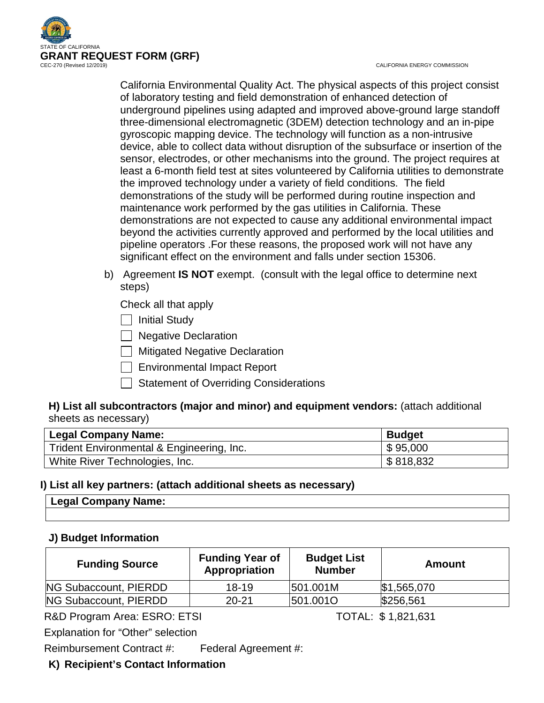

CALIFORNIA ENERGY COMMISSION

California Environmental Quality Act. The physical aspects of this project consist of laboratory testing and field demonstration of enhanced detection of underground pipelines using adapted and improved above-ground large standoff three-dimensional electromagnetic (3DEM) detection technology and an in-pipe gyroscopic mapping device. The technology will function as a non-intrusive device, able to collect data without disruption of the subsurface or insertion of the sensor, electrodes, or other mechanisms into the ground. The project requires at least a 6-month field test at sites volunteered by California utilities to demonstrate the improved technology under a variety of field conditions. The field demonstrations of the study will be performed during routine inspection and maintenance work performed by the gas utilities in California. These demonstrations are not expected to cause any additional environmental impact beyond the activities currently approved and performed by the local utilities and pipeline operators .For these reasons, the proposed work will not have any significant effect on the environment and falls under section 15306.

b) Agreement **IS NOT** exempt. (consult with the legal office to determine next steps)

Check all that apply

 $\Box$  Initial Study

| Negative Declaration

**Nitigated Negative Declaration** 

Environmental Impact Report

 $\Box$  Statement of Overriding Considerations

## **H) List all subcontractors (major and minor) and equipment vendors:** (attach additional sheets as necessary)

| <b>Legal Company Name:</b>                | <b>Budget</b> |
|-------------------------------------------|---------------|
| Trident Environmental & Engineering, Inc. | \$95,000      |
| White River Technologies, Inc.            | \$818,832     |

## **I) List all key partners: (attach additional sheets as necessary)**

| ∣ Legal Company Name: |  |
|-----------------------|--|
|                       |  |

## **J) Budget Information**

| <b>Funding Source</b> | <b>Funding Year of</b><br>Appropriation | <b>Budget List</b><br><b>Number</b> | Amount          |
|-----------------------|-----------------------------------------|-------------------------------------|-----------------|
| NG Subaccount, PIERDD | $18 - 19$                               | 501.001M                            | $\$\,1,565,070$ |
| NG Subaccount, PIERDD | $20 - 21$                               | 501.0010                            | \$256,561       |

R&D Program Area: ESRO: ETSI TOTAL: \$1,821,631

Explanation for "Other" selection

Reimbursement Contract #: Federal Agreement #:

## **K) Recipient's Contact Information**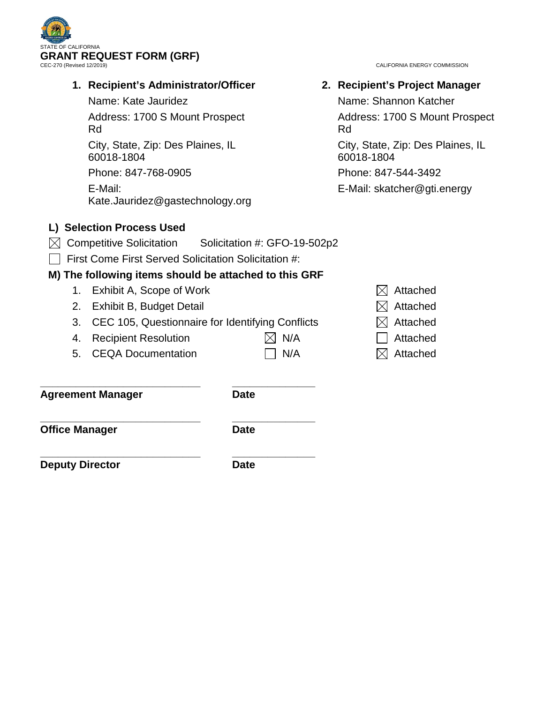

## **1. Recipient's Administrator/Officer**

Name: Kate Jauridez

Address: 1700 S Mount Prospect Rd

City, State, Zip: Des Plaines, IL 60018-1804

Phone: 847-768-0905 E-Mail:

Kate.Jauridez@gastechnology.org

# **L) Selection Process Used**

- $\boxtimes$  Competitive Solicitation Solicitation #: GFO-19-502p2
- First Come First Served Solicitation Solicitation #:

# **M) The following items should be attached to this GRF**

- 1. Exhibit A, Scope of Work  $\boxtimes$  Attached
- 2. Exhibit B, Budget Detail  $\boxtimes$  Attached
- 3. CEC 105, Questionnaire for Identifying Conflicts  $\boxtimes$  Attached
- 4. Recipient Resolution  $\boxtimes$  N/A  $\Box$  Attached
- 5. CEQA Documentation  $\Box$  N/A  $\boxtimes$  Attached

**\_\_\_\_\_\_\_\_\_\_\_\_\_\_\_\_\_\_\_\_\_\_\_\_\_\_\_ \_\_\_\_\_\_\_\_\_\_\_\_\_\_ Agreement Manager Date**

**\_\_\_\_\_\_\_\_\_\_\_\_\_\_\_\_\_\_\_\_\_\_\_\_\_\_\_ \_\_\_\_\_\_\_\_\_\_\_\_\_\_ Office Manager Date** 

**\_\_\_\_\_\_\_\_\_\_\_\_\_\_\_\_\_\_\_\_\_\_\_\_\_\_\_ \_\_\_\_\_\_\_\_\_\_\_\_\_\_ Deputy Director Date** 

CALIFORNIA ENERGY COMMISSION

**2. Recipient's Project Manager** Name: Shannon Katcher Address: 1700 S Mount Prospect Rd City, State, Zip: Des Plaines, IL 60018-1804 Phone: 847-544-3492 E-Mail: skatcher@gti.energy

- 
- 
-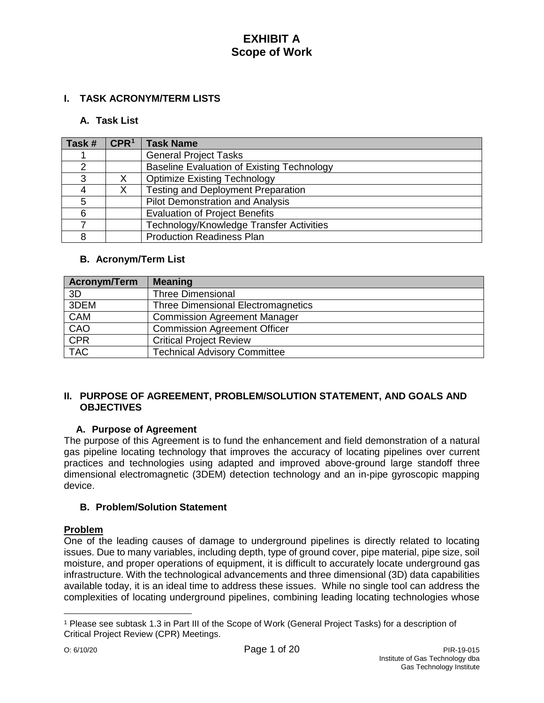## **I. TASK ACRONYM/TERM LISTS**

### **A. Task List**

| Task # | CPR <sup>1</sup> | <b>Task Name</b>                                  |
|--------|------------------|---------------------------------------------------|
|        |                  | <b>General Project Tasks</b>                      |
| ◠      |                  | <b>Baseline Evaluation of Existing Technology</b> |
| 3      |                  | <b>Optimize Existing Technology</b>               |
|        |                  | <b>Testing and Deployment Preparation</b>         |
|        |                  | <b>Pilot Demonstration and Analysis</b>           |
| 6      |                  | <b>Evaluation of Project Benefits</b>             |
|        |                  | Technology/Knowledge Transfer Activities          |
| 8      |                  | <b>Production Readiness Plan</b>                  |

#### **B. Acronym/Term List**

| <b>Acronym/Term</b> | <b>Meaning</b>                            |
|---------------------|-------------------------------------------|
| 3D                  | <b>Three Dimensional</b>                  |
| 3DEM                | <b>Three Dimensional Electromagnetics</b> |
| <b>CAM</b>          | <b>Commission Agreement Manager</b>       |
| CAO                 | <b>Commission Agreement Officer</b>       |
| CPR                 | <b>Critical Project Review</b>            |
| <b>TAC</b>          | <b>Technical Advisory Committee</b>       |

## **II. PURPOSE OF AGREEMENT, PROBLEM/SOLUTION STATEMENT, AND GOALS AND OBJECTIVES**

## **A. Purpose of Agreement**

The purpose of this Agreement is to fund the enhancement and field demonstration of a natural gas pipeline locating technology that improves the accuracy of locating pipelines over current practices and technologies using adapted and improved above-ground large standoff three dimensional electromagnetic (3DEM) detection technology and an in-pipe gyroscopic mapping device.

## **B. Problem/Solution Statement**

## **Problem**

One of the leading causes of damage to underground pipelines is directly related to locating issues. Due to many variables, including depth, type of ground cover, pipe material, pipe size, soil moisture, and proper operations of equipment, it is difficult to accurately locate underground gas infrastructure. With the technological advancements and three dimensional (3D) data capabilities available today, it is an ideal time to address these issues. While no single tool can address the complexities of locating underground pipelines, combining leading locating technologies whose

 $\overline{a}$ 

<span id="page-3-0"></span><sup>1</sup> Please see subtask 1.3 in Part III of the Scope of Work (General Project Tasks) for a description of Critical Project Review (CPR) Meetings.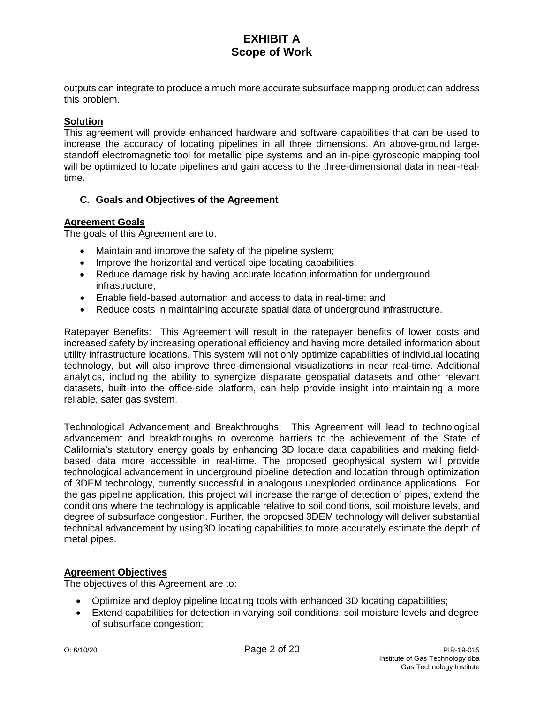outputs can integrate to produce a much more accurate subsurface mapping product can address this problem.

## **Solution**

This agreement will provide enhanced hardware and software capabilities that can be used to increase the accuracy of locating pipelines in all three dimensions. An above-ground largestandoff electromagnetic tool for metallic pipe systems and an in-pipe gyroscopic mapping tool will be optimized to locate pipelines and gain access to the three-dimensional data in near-realtime.

## **C. Goals and Objectives of the Agreement**

## **Agreement Goals**

The goals of this Agreement are to:

- Maintain and improve the safety of the pipeline system;
- Improve the horizontal and vertical pipe locating capabilities;
- Reduce damage risk by having accurate location information for underground infrastructure;
- Enable field-based automation and access to data in real-time; and
- Reduce costs in maintaining accurate spatial data of underground infrastructure.

Ratepayer Benefits: This Agreement will result in the ratepayer benefits of lower costs and increased safety by increasing operational efficiency and having more detailed information about utility infrastructure locations. This system will not only optimize capabilities of individual locating technology, but will also improve three-dimensional visualizations in near real-time. Additional analytics, including the ability to synergize disparate geospatial datasets and other relevant datasets, built into the office-side platform, can help provide insight into maintaining a more reliable, safer gas system.

Technological Advancement and Breakthroughs: This Agreement will lead to technological advancement and breakthroughs to overcome barriers to the achievement of the State of California's statutory energy goals by enhancing 3D locate data capabilities and making fieldbased data more accessible in real-time. The proposed geophysical system will provide technological advancement in underground pipeline detection and location through optimization of 3DEM technology, currently successful in analogous unexploded ordinance applications. For the gas pipeline application, this project will increase the range of detection of pipes, extend the conditions where the technology is applicable relative to soil conditions, soil moisture levels, and degree of subsurface congestion. Further, the proposed 3DEM technology will deliver substantial technical advancement by using3D locating capabilities to more accurately estimate the depth of metal pipes.

## **Agreement Objectives**

The objectives of this Agreement are to:

- Optimize and deploy pipeline locating tools with enhanced 3D locating capabilities;
- Extend capabilities for detection in varying soil conditions, soil moisture levels and degree of subsurface congestion;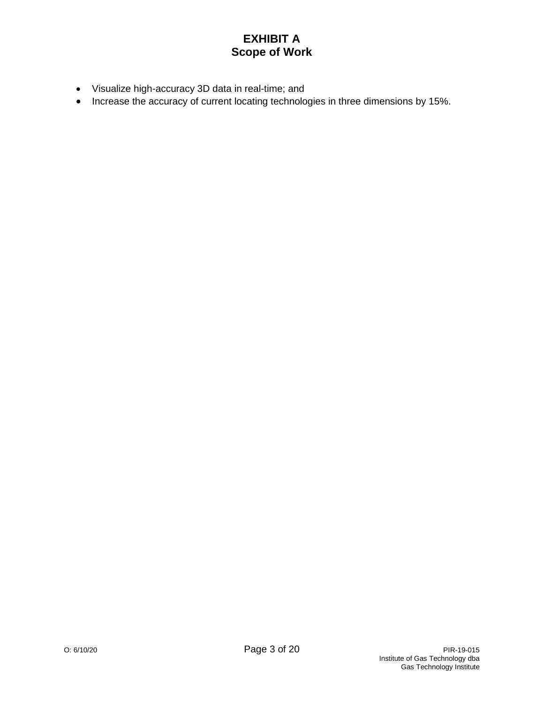- Visualize high-accuracy 3D data in real-time; and
- Increase the accuracy of current locating technologies in three dimensions by 15%.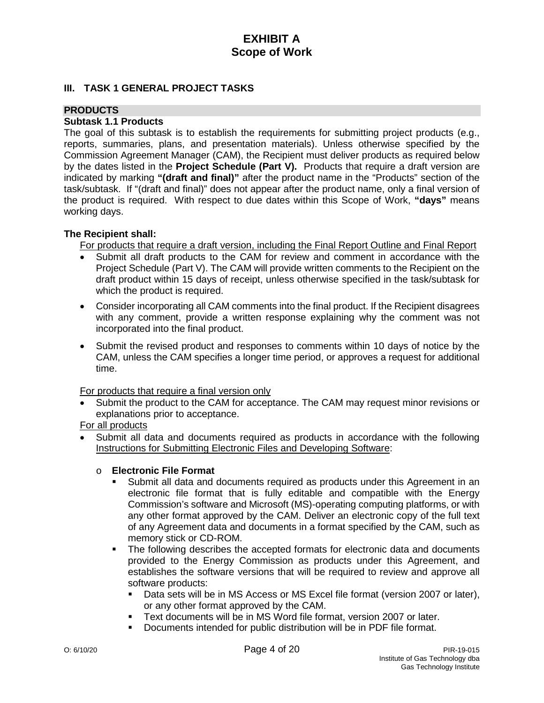## **III. TASK 1 GENERAL PROJECT TASKS**

#### **PRODUCTS**

### **Subtask 1.1 Products**

The goal of this subtask is to establish the requirements for submitting project products (e.g., reports, summaries, plans, and presentation materials). Unless otherwise specified by the Commission Agreement Manager (CAM), the Recipient must deliver products as required below by the dates listed in the **Project Schedule (Part V).** Products that require a draft version are indicated by marking **"(draft and final)"** after the product name in the "Products" section of the task/subtask. If "(draft and final)" does not appear after the product name, only a final version of the product is required. With respect to due dates within this Scope of Work, **"days"** means working days.

#### **The Recipient shall:**

For products that require a draft version, including the Final Report Outline and Final Report

- Submit all draft products to the CAM for review and comment in accordance with the Project Schedule (Part V). The CAM will provide written comments to the Recipient on the draft product within 15 days of receipt, unless otherwise specified in the task/subtask for which the product is required.
- Consider incorporating all CAM comments into the final product. If the Recipient disagrees with any comment, provide a written response explaining why the comment was not incorporated into the final product.
- Submit the revised product and responses to comments within 10 days of notice by the CAM, unless the CAM specifies a longer time period, or approves a request for additional time.

#### For products that require a final version only

Submit the product to the CAM for acceptance. The CAM may request minor revisions or explanations prior to acceptance.

For all products

• Submit all data and documents required as products in accordance with the following Instructions for Submitting Electronic Files and Developing Software:

## o **Electronic File Format**

- Submit all data and documents required as products under this Agreement in an electronic file format that is fully editable and compatible with the Energy Commission's software and Microsoft (MS)-operating computing platforms, or with any other format approved by the CAM. Deliver an electronic copy of the full text of any Agreement data and documents in a format specified by the CAM, such as memory stick or CD-ROM.
- The following describes the accepted formats for electronic data and documents provided to the Energy Commission as products under this Agreement, and establishes the software versions that will be required to review and approve all software products:
	- Data sets will be in MS Access or MS Excel file format (version 2007 or later), or any other format approved by the CAM.
	- Text documents will be in MS Word file format, version 2007 or later.
	- Documents intended for public distribution will be in PDF file format.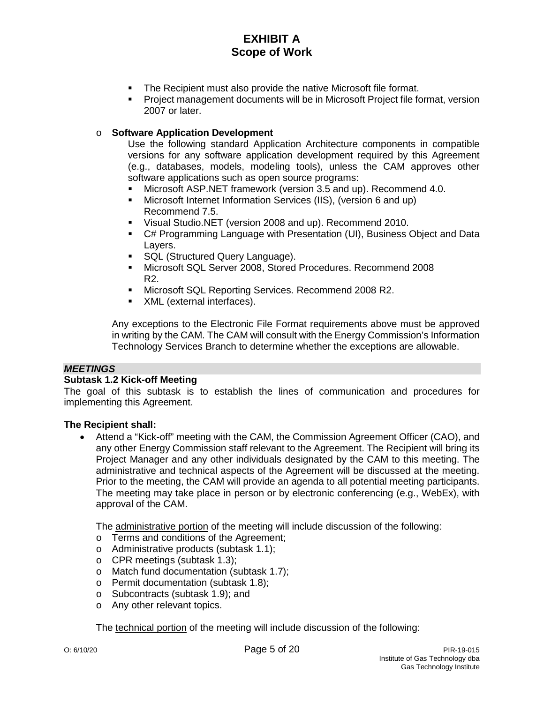- **The Recipient must also provide the native Microsoft file format.**
- Project management documents will be in Microsoft Project file format, version 2007 or later.

## o **Software Application Development**

Use the following standard Application Architecture components in compatible versions for any software application development required by this Agreement (e.g., databases, models, modeling tools), unless the CAM approves other software applications such as open source programs:

- Microsoft ASP.NET framework (version 3.5 and up). Recommend 4.0.
- Microsoft Internet Information Services (IIS), (version 6 and up) Recommend 7.5.
- Visual Studio.NET (version 2008 and up). Recommend 2010.
- C# Programming Language with Presentation (UI), Business Object and Data Layers.
- **SQL (Structured Query Language).**
- Microsoft SQL Server 2008, Stored Procedures. Recommend 2008 R2.
- **Microsoft SQL Reporting Services. Recommend 2008 R2.**
- XML (external interfaces).

Any exceptions to the Electronic File Format requirements above must be approved in writing by the CAM. The CAM will consult with the Energy Commission's Information Technology Services Branch to determine whether the exceptions are allowable.

## *MEETINGS*

## **Subtask 1.2 Kick-off Meeting**

The goal of this subtask is to establish the lines of communication and procedures for implementing this Agreement.

## **The Recipient shall:**

• Attend a "Kick-off" meeting with the CAM, the Commission Agreement Officer (CAO), and any other Energy Commission staff relevant to the Agreement. The Recipient will bring its Project Manager and any other individuals designated by the CAM to this meeting. The administrative and technical aspects of the Agreement will be discussed at the meeting. Prior to the meeting, the CAM will provide an agenda to all potential meeting participants. The meeting may take place in person or by electronic conferencing (e.g., WebEx), with approval of the CAM.

The administrative portion of the meeting will include discussion of the following:

- o Terms and conditions of the Agreement;
- o Administrative products (subtask 1.1);
- o CPR meetings (subtask 1.3);
- o Match fund documentation (subtask 1.7);
- o Permit documentation (subtask 1.8);
- o Subcontracts (subtask 1.9); and
- o Any other relevant topics.

The technical portion of the meeting will include discussion of the following: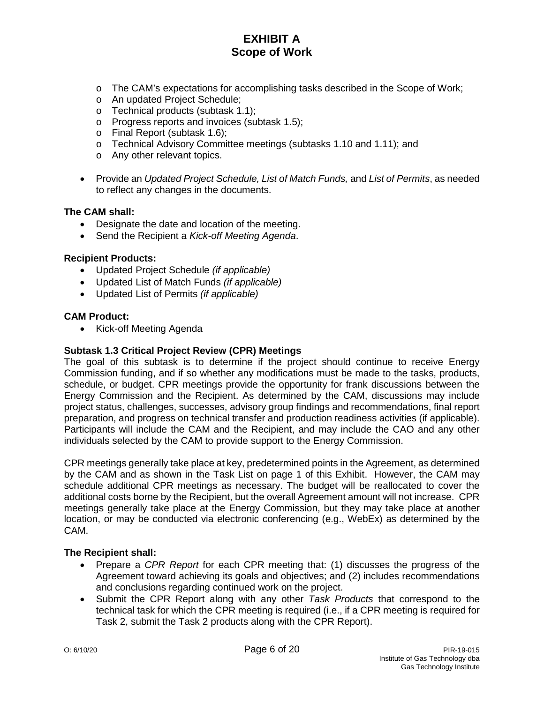- o The CAM's expectations for accomplishing tasks described in the Scope of Work;
- o An updated Project Schedule;
- o Technical products (subtask 1.1);
- o Progress reports and invoices (subtask 1.5);
- o Final Report (subtask 1.6);
- o Technical Advisory Committee meetings (subtasks 1.10 and 1.11); and
- o Any other relevant topics.
- Provide an *Updated Project Schedule, List of Match Funds,* and *List of Permits*, as needed to reflect any changes in the documents.

#### **The CAM shall:**

- Designate the date and location of the meeting.
- Send the Recipient a *Kick-off Meeting Agenda*.

### **Recipient Products:**

- Updated Project Schedule *(if applicable)*
- Updated List of Match Funds *(if applicable)*
- Updated List of Permits *(if applicable)*

#### **CAM Product:**

• Kick-off Meeting Agenda

### **Subtask 1.3 Critical Project Review (CPR) Meetings**

The goal of this subtask is to determine if the project should continue to receive Energy Commission funding, and if so whether any modifications must be made to the tasks, products, schedule, or budget. CPR meetings provide the opportunity for frank discussions between the Energy Commission and the Recipient. As determined by the CAM, discussions may include project status, challenges, successes, advisory group findings and recommendations, final report preparation, and progress on technical transfer and production readiness activities (if applicable). Participants will include the CAM and the Recipient, and may include the CAO and any other individuals selected by the CAM to provide support to the Energy Commission.

CPR meetings generally take place at key, predetermined points in the Agreement, as determined by the CAM and as shown in the Task List on page 1 of this Exhibit. However, the CAM may schedule additional CPR meetings as necessary. The budget will be reallocated to cover the additional costs borne by the Recipient, but the overall Agreement amount will not increase. CPR meetings generally take place at the Energy Commission, but they may take place at another location, or may be conducted via electronic conferencing (e.g., WebEx) as determined by the CAM.

- Prepare a *CPR Report* for each CPR meeting that: (1) discusses the progress of the Agreement toward achieving its goals and objectives; and (2) includes recommendations and conclusions regarding continued work on the project.
- Submit the CPR Report along with any other *Task Products* that correspond to the technical task for which the CPR meeting is required (i.e., if a CPR meeting is required for Task 2, submit the Task 2 products along with the CPR Report).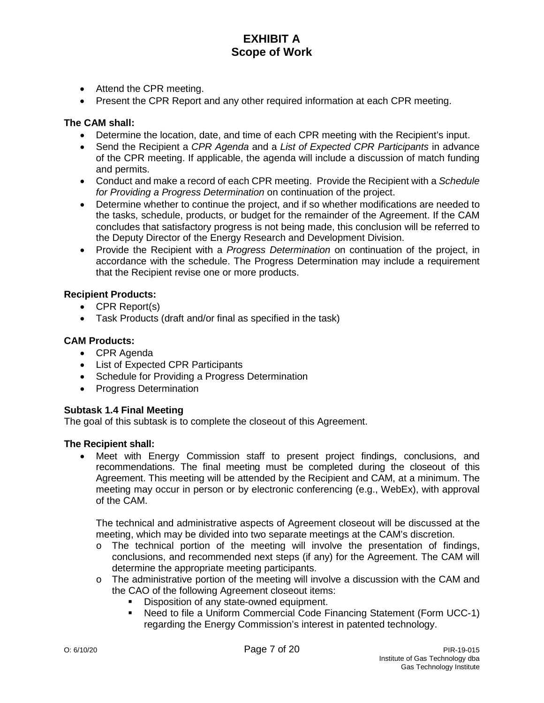- Attend the CPR meeting.
- Present the CPR Report and any other required information at each CPR meeting.

## **The CAM shall:**

- Determine the location, date, and time of each CPR meeting with the Recipient's input.
- Send the Recipient a *CPR Agenda* and a *List of Expected CPR Participants* in advance of the CPR meeting. If applicable, the agenda will include a discussion of match funding and permits.
- Conduct and make a record of each CPR meeting. Provide the Recipient with a *Schedule for Providing a Progress Determination* on continuation of the project.
- Determine whether to continue the project, and if so whether modifications are needed to the tasks, schedule, products, or budget for the remainder of the Agreement. If the CAM concludes that satisfactory progress is not being made, this conclusion will be referred to the Deputy Director of the Energy Research and Development Division.
- Provide the Recipient with a *Progress Determination* on continuation of the project, in accordance with the schedule. The Progress Determination may include a requirement that the Recipient revise one or more products.

## **Recipient Products:**

- CPR Report(s)
- Task Products (draft and/or final as specified in the task)

#### **CAM Products:**

- CPR Agenda
- List of Expected CPR Participants
- Schedule for Providing a Progress Determination
- Progress Determination

#### **Subtask 1.4 Final Meeting**

The goal of this subtask is to complete the closeout of this Agreement.

#### **The Recipient shall:**

• Meet with Energy Commission staff to present project findings, conclusions, and recommendations. The final meeting must be completed during the closeout of this Agreement. This meeting will be attended by the Recipient and CAM, at a minimum. The meeting may occur in person or by electronic conferencing (e.g., WebEx), with approval of the CAM.

The technical and administrative aspects of Agreement closeout will be discussed at the meeting, which may be divided into two separate meetings at the CAM's discretion.

- $\circ$  The technical portion of the meeting will involve the presentation of findings, conclusions, and recommended next steps (if any) for the Agreement. The CAM will determine the appropriate meeting participants.
- $\circ$  The administrative portion of the meeting will involve a discussion with the CAM and the CAO of the following Agreement closeout items:
	- Disposition of any state-owned equipment.
	- Need to file a Uniform Commercial Code Financing Statement (Form UCC-1) regarding the Energy Commission's interest in patented technology.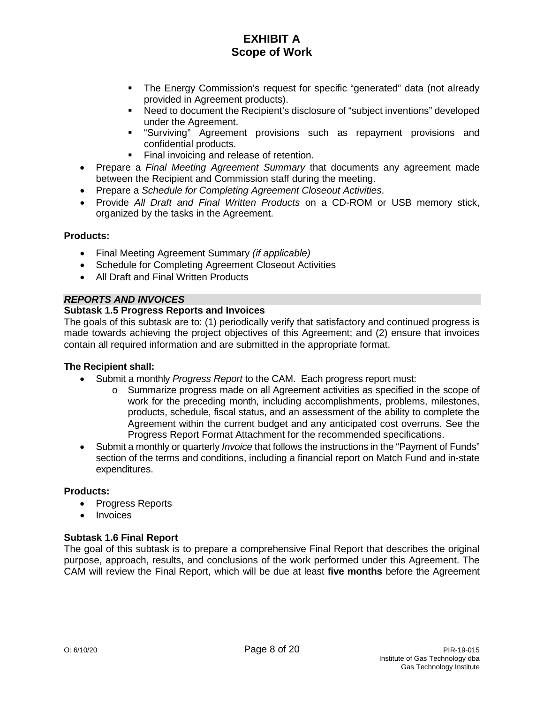- The Energy Commission's request for specific "generated" data (not already provided in Agreement products).
- Need to document the Recipient's disclosure of "subject inventions" developed under the Agreement.
- "Surviving" Agreement provisions such as repayment provisions and confidential products.
- Final invoicing and release of retention.
- Prepare a *Final Meeting Agreement Summary* that documents any agreement made between the Recipient and Commission staff during the meeting.
- Prepare a *Schedule for Completing Agreement Closeout Activities*.
- Provide *All Draft and Final Written Products* on a CD-ROM or USB memory stick, organized by the tasks in the Agreement.

#### **Products:**

- Final Meeting Agreement Summary *(if applicable)*
- Schedule for Completing Agreement Closeout Activities
- All Draft and Final Written Products

## *REPORTS AND INVOICES*

## **Subtask 1.5 Progress Reports and Invoices**

The goals of this subtask are to: (1) periodically verify that satisfactory and continued progress is made towards achieving the project objectives of this Agreement; and (2) ensure that invoices contain all required information and are submitted in the appropriate format.

## **The Recipient shall:**

- Submit a monthly *Progress Report* to the CAM. Each progress report must:
	- o Summarize progress made on all Agreement activities as specified in the scope of work for the preceding month, including accomplishments, problems, milestones, products, schedule, fiscal status, and an assessment of the ability to complete the Agreement within the current budget and any anticipated cost overruns. See the Progress Report Format Attachment for the recommended specifications.
- Submit a monthly or quarterly *Invoice* that follows the instructions in the "Payment of Funds" section of the terms and conditions, including a financial report on Match Fund and in-state expenditures.

## **Products:**

- Progress Reports
- Invoices

## **Subtask 1.6 Final Report**

The goal of this subtask is to prepare a comprehensive Final Report that describes the original purpose, approach, results, and conclusions of the work performed under this Agreement. The CAM will review the Final Report, which will be due at least **five months** before the Agreement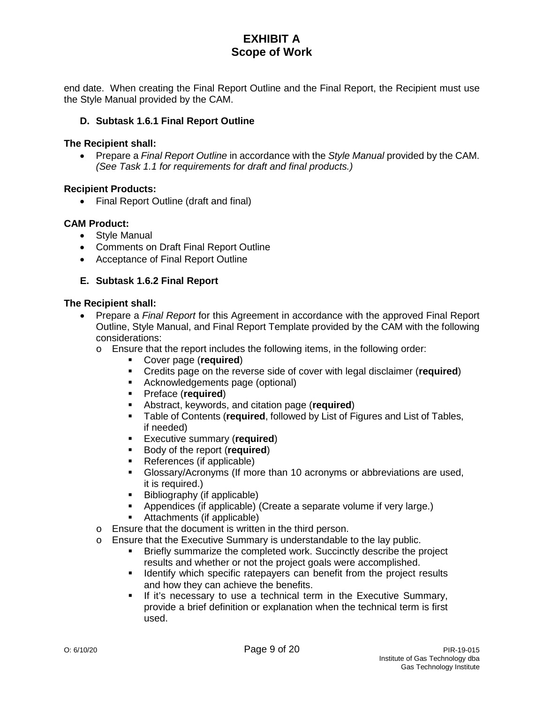end date. When creating the Final Report Outline and the Final Report, the Recipient must use the Style Manual provided by the CAM.

## **D. Subtask 1.6.1 Final Report Outline**

#### **The Recipient shall:**

• Prepare a *Final Report Outline* in accordance with the *Style Manual* provided by the CAM. *(See Task 1.1 for requirements for draft and final products.)*

## **Recipient Products:**

• Final Report Outline (draft and final)

## **CAM Product:**

- Style Manual
- Comments on Draft Final Report Outline
- Acceptance of Final Report Outline

## **E. Subtask 1.6.2 Final Report**

- Prepare a *Final Report* for this Agreement in accordance with the approved Final Report Outline, Style Manual, and Final Report Template provided by the CAM with the following considerations:
	- $\circ$  Ensure that the report includes the following items, in the following order:
		- Cover page (**required**)
			- Credits page on the reverse side of cover with legal disclaimer (**required**)
			- Acknowledgements page (optional)
			- **Preface (required)**<br>**B** Abstract, keywords,
			- **Abstract, keywords, and citation page (required)**<br>**EXECUTE:** Table of Contents (required followed by List of F
			- Table of Contents (**required**, followed by List of Figures and List of Tables, if needed)
			- **Executive summary (required)**<br>**Body of the report (required)**
			- Body of the report (**required**)
			- References (if applicable)
			- Glossary/Acronyms (If more than 10 acronyms or abbreviations are used, it is required.)
			- $\blacksquare$  Bibliography (if applicable)
			- Appendices (if applicable) (Create a separate volume if very large.)
			- Attachments (if applicable)
	- o Ensure that the document is written in the third person.
	- o Ensure that the Executive Summary is understandable to the lay public.
		- Briefly summarize the completed work. Succinctly describe the project results and whether or not the project goals were accomplished.
		- **If Identify which specific ratepayers can benefit from the project results** and how they can achieve the benefits.
		- **If it's necessary to use a technical term in the Executive Summary,** provide a brief definition or explanation when the technical term is first used.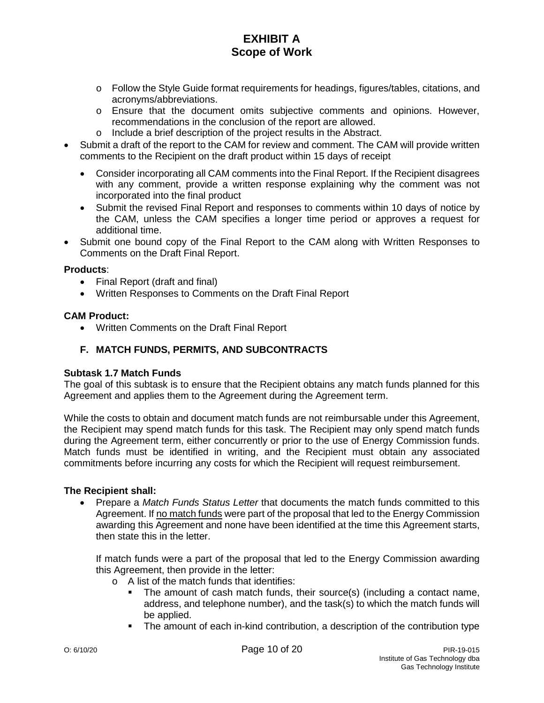- o Follow the Style Guide format requirements for headings, figures/tables, citations, and acronyms/abbreviations.
- o Ensure that the document omits subjective comments and opinions. However, recommendations in the conclusion of the report are allowed.
- o Include a brief description of the project results in the Abstract.
- Submit a draft of the report to the CAM for review and comment. The CAM will provide written comments to the Recipient on the draft product within 15 days of receipt
	- Consider incorporating all CAM comments into the Final Report. If the Recipient disagrees with any comment, provide a written response explaining why the comment was not incorporated into the final product
	- Submit the revised Final Report and responses to comments within 10 days of notice by the CAM, unless the CAM specifies a longer time period or approves a request for additional time.
- Submit one bound copy of the Final Report to the CAM along with Written Responses to Comments on the Draft Final Report.

#### **Products**:

- Final Report (draft and final)
- Written Responses to Comments on the Draft Final Report

## **CAM Product:**

• Written Comments on the Draft Final Report

## **F. MATCH FUNDS, PERMITS, AND SUBCONTRACTS**

### **Subtask 1.7 Match Funds**

The goal of this subtask is to ensure that the Recipient obtains any match funds planned for this Agreement and applies them to the Agreement during the Agreement term.

While the costs to obtain and document match funds are not reimbursable under this Agreement, the Recipient may spend match funds for this task. The Recipient may only spend match funds during the Agreement term, either concurrently or prior to the use of Energy Commission funds. Match funds must be identified in writing, and the Recipient must obtain any associated commitments before incurring any costs for which the Recipient will request reimbursement.

## **The Recipient shall:**

• Prepare a *Match Funds Status Letter* that documents the match funds committed to this Agreement. If no match funds were part of the proposal that led to the Energy Commission awarding this Agreement and none have been identified at the time this Agreement starts, then state this in the letter.

If match funds were a part of the proposal that led to the Energy Commission awarding this Agreement, then provide in the letter:

- o A list of the match funds that identifies:
	- The amount of cash match funds, their source(s) (including a contact name, address, and telephone number), and the task(s) to which the match funds will be applied.
	- The amount of each in-kind contribution, a description of the contribution type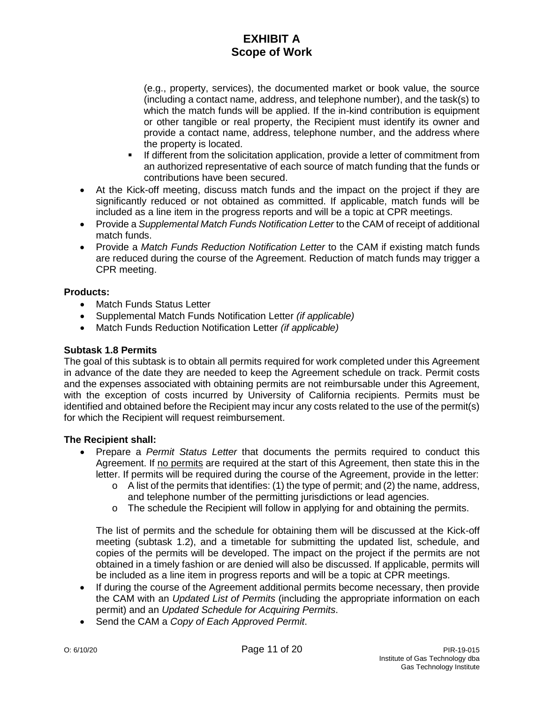(e.g., property, services), the documented market or book value, the source (including a contact name, address, and telephone number), and the task(s) to which the match funds will be applied. If the in-kind contribution is equipment or other tangible or real property, the Recipient must identify its owner and provide a contact name, address, telephone number, and the address where the property is located.

- If different from the solicitation application, provide a letter of commitment from an authorized representative of each source of match funding that the funds or contributions have been secured.
- At the Kick-off meeting, discuss match funds and the impact on the project if they are significantly reduced or not obtained as committed. If applicable, match funds will be included as a line item in the progress reports and will be a topic at CPR meetings.
- Provide a *Supplemental Match Funds Notification Letter* to the CAM of receipt of additional match funds.
- Provide a *Match Funds Reduction Notification Letter* to the CAM if existing match funds are reduced during the course of the Agreement. Reduction of match funds may trigger a CPR meeting.

## **Products:**

- Match Funds Status Letter
- Supplemental Match Funds Notification Letter *(if applicable)*
- Match Funds Reduction Notification Letter *(if applicable)*

## **Subtask 1.8 Permits**

The goal of this subtask is to obtain all permits required for work completed under this Agreement in advance of the date they are needed to keep the Agreement schedule on track. Permit costs and the expenses associated with obtaining permits are not reimbursable under this Agreement, with the exception of costs incurred by University of California recipients. Permits must be identified and obtained before the Recipient may incur any costs related to the use of the permit(s) for which the Recipient will request reimbursement.

## **The Recipient shall:**

- Prepare a *Permit Status Letter* that documents the permits required to conduct this Agreement. If no permits are required at the start of this Agreement, then state this in the letter. If permits will be required during the course of the Agreement, provide in the letter:
	- $\circ$  A list of the permits that identifies: (1) the type of permit; and (2) the name, address, and telephone number of the permitting jurisdictions or lead agencies.
	- o The schedule the Recipient will follow in applying for and obtaining the permits.

The list of permits and the schedule for obtaining them will be discussed at the Kick-off meeting (subtask 1.2), and a timetable for submitting the updated list, schedule, and copies of the permits will be developed. The impact on the project if the permits are not obtained in a timely fashion or are denied will also be discussed. If applicable, permits will be included as a line item in progress reports and will be a topic at CPR meetings.

- If during the course of the Agreement additional permits become necessary, then provide the CAM with an *Updated List of Permits* (including the appropriate information on each permit) and an *Updated Schedule for Acquiring Permits*.
- Send the CAM a *Copy of Each Approved Permit*.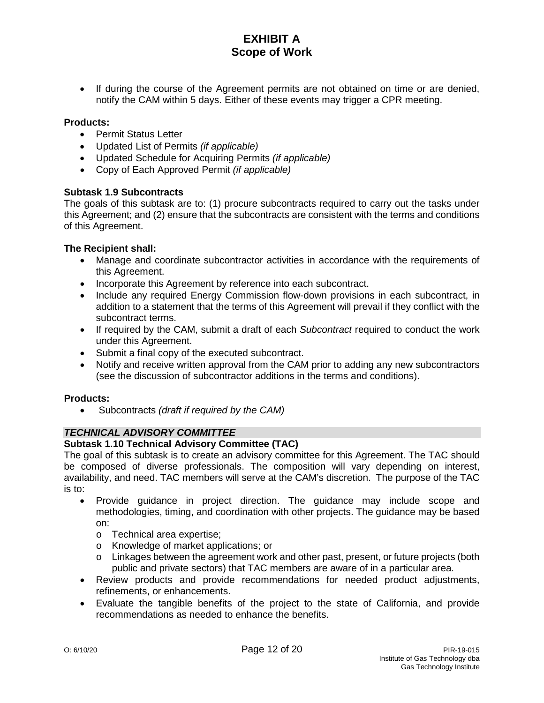• If during the course of the Agreement permits are not obtained on time or are denied, notify the CAM within 5 days. Either of these events may trigger a CPR meeting.

## **Products:**

- Permit Status Letter
- Updated List of Permits *(if applicable)*
- Updated Schedule for Acquiring Permits *(if applicable)*
- Copy of Each Approved Permit *(if applicable)*

## **Subtask 1.9 Subcontracts**

The goals of this subtask are to: (1) procure subcontracts required to carry out the tasks under this Agreement; and (2) ensure that the subcontracts are consistent with the terms and conditions of this Agreement.

## **The Recipient shall:**

- Manage and coordinate subcontractor activities in accordance with the requirements of this Agreement.
- Incorporate this Agreement by reference into each subcontract.
- Include any required Energy Commission flow-down provisions in each subcontract, in addition to a statement that the terms of this Agreement will prevail if they conflict with the subcontract terms.
- If required by the CAM, submit a draft of each *Subcontract* required to conduct the work under this Agreement.
- Submit a final copy of the executed subcontract.
- Notify and receive written approval from the CAM prior to adding any new subcontractors (see the discussion of subcontractor additions in the terms and conditions).

#### **Products:**

• Subcontracts *(draft if required by the CAM)*

## *TECHNICAL ADVISORY COMMITTEE*

## **Subtask 1.10 Technical Advisory Committee (TAC)**

The goal of this subtask is to create an advisory committee for this Agreement. The TAC should be composed of diverse professionals. The composition will vary depending on interest, availability, and need. TAC members will serve at the CAM's discretion. The purpose of the TAC is to:

- Provide guidance in project direction. The guidance may include scope and methodologies, timing, and coordination with other projects. The guidance may be based on:
	- o Technical area expertise;
	- o Knowledge of market applications; or
	- o Linkages between the agreement work and other past, present, or future projects (both public and private sectors) that TAC members are aware of in a particular area.
- Review products and provide recommendations for needed product adjustments, refinements, or enhancements.
- Evaluate the tangible benefits of the project to the state of California, and provide recommendations as needed to enhance the benefits.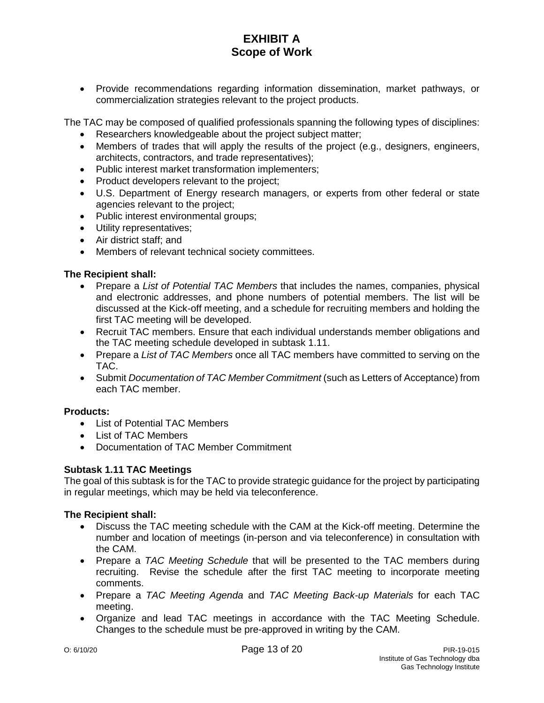• Provide recommendations regarding information dissemination, market pathways, or commercialization strategies relevant to the project products.

The TAC may be composed of qualified professionals spanning the following types of disciplines:

- Researchers knowledgeable about the project subject matter;
- Members of trades that will apply the results of the project (e.g., designers, engineers, architects, contractors, and trade representatives);
- Public interest market transformation implementers;
- Product developers relevant to the project;
- U.S. Department of Energy research managers, or experts from other federal or state agencies relevant to the project;
- Public interest environmental groups;
- Utility representatives;
- Air district staff; and
- Members of relevant technical society committees.

## **The Recipient shall:**

- Prepare a *List of Potential TAC Members* that includes the names, companies, physical and electronic addresses, and phone numbers of potential members. The list will be discussed at the Kick-off meeting, and a schedule for recruiting members and holding the first TAC meeting will be developed.
- Recruit TAC members. Ensure that each individual understands member obligations and the TAC meeting schedule developed in subtask 1.11.
- Prepare a *List of TAC Members* once all TAC members have committed to serving on the TAC.
- Submit *Documentation of TAC Member Commitment* (such as Letters of Acceptance) from each TAC member.

## **Products:**

- List of Potential TAC Members
- List of TAC Members
- Documentation of TAC Member Commitment

## **Subtask 1.11 TAC Meetings**

The goal of this subtask is for the TAC to provide strategic guidance for the project by participating in regular meetings, which may be held via teleconference.

- Discuss the TAC meeting schedule with the CAM at the Kick-off meeting. Determine the number and location of meetings (in-person and via teleconference) in consultation with the CAM.
- Prepare a *TAC Meeting Schedule* that will be presented to the TAC members during recruiting. Revise the schedule after the first TAC meeting to incorporate meeting comments.
- Prepare a *TAC Meeting Agenda* and *TAC Meeting Back-up Materials* for each TAC meeting.
- Organize and lead TAC meetings in accordance with the TAC Meeting Schedule. Changes to the schedule must be pre-approved in writing by the CAM.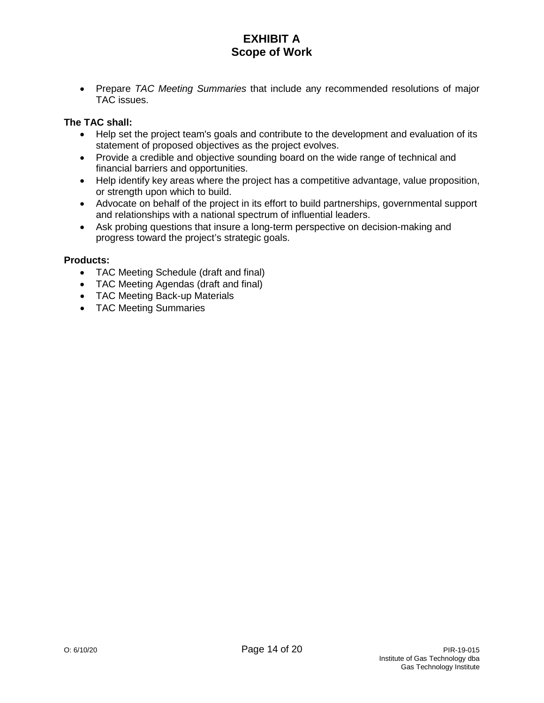• Prepare *TAC Meeting Summaries* that include any recommended resolutions of major TAC issues.

## **The TAC shall:**

- Help set the project team's goals and contribute to the development and evaluation of its statement of proposed objectives as the project evolves.
- Provide a credible and objective sounding board on the wide range of technical and financial barriers and opportunities.
- Help identify key areas where the project has a competitive advantage, value proposition, or strength upon which to build.
- Advocate on behalf of the project in its effort to build partnerships, governmental support and relationships with a national spectrum of influential leaders.
- Ask probing questions that insure a long-term perspective on decision-making and progress toward the project's strategic goals.

## **Products:**

- TAC Meeting Schedule (draft and final)
- TAC Meeting Agendas (draft and final)
- TAC Meeting Back-up Materials
- TAC Meeting Summaries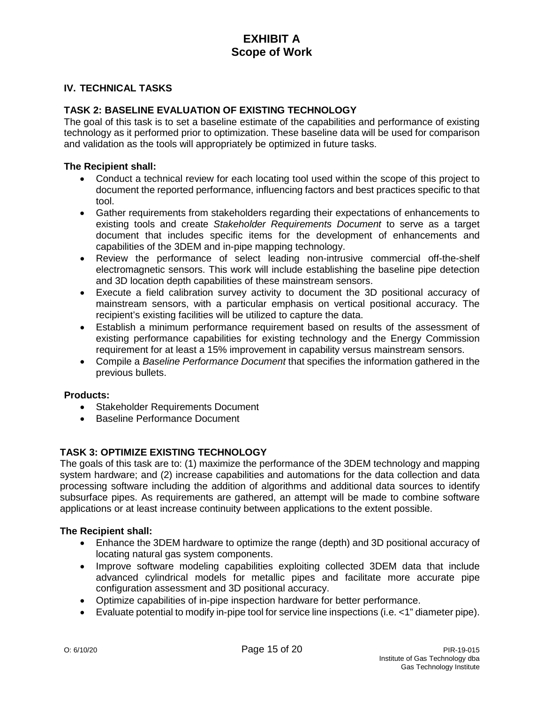## **IV. TECHNICAL TASKS**

## **TASK 2: BASELINE EVALUATION OF EXISTING TECHNOLOGY**

The goal of this task is to set a baseline estimate of the capabilities and performance of existing technology as it performed prior to optimization. These baseline data will be used for comparison and validation as the tools will appropriately be optimized in future tasks.

#### **The Recipient shall:**

- Conduct a technical review for each locating tool used within the scope of this project to document the reported performance, influencing factors and best practices specific to that tool.
- Gather requirements from stakeholders regarding their expectations of enhancements to existing tools and create *Stakeholder Requirements Document* to serve as a target document that includes specific items for the development of enhancements and capabilities of the 3DEM and in-pipe mapping technology.
- Review the performance of select leading non-intrusive commercial off-the-shelf electromagnetic sensors. This work will include establishing the baseline pipe detection and 3D location depth capabilities of these mainstream sensors.
- Execute a field calibration survey activity to document the 3D positional accuracy of mainstream sensors, with a particular emphasis on vertical positional accuracy. The recipient's existing facilities will be utilized to capture the data.
- Establish a minimum performance requirement based on results of the assessment of existing performance capabilities for existing technology and the Energy Commission requirement for at least a 15% improvement in capability versus mainstream sensors.
- Compile a *Baseline Performance Document* that specifies the information gathered in the previous bullets.

#### **Products:**

- Stakeholder Requirements Document
- Baseline Performance Document

## **TASK 3: OPTIMIZE EXISTING TECHNOLOGY**

The goals of this task are to: (1) maximize the performance of the 3DEM technology and mapping system hardware; and (2) increase capabilities and automations for the data collection and data processing software including the addition of algorithms and additional data sources to identify subsurface pipes. As requirements are gathered, an attempt will be made to combine software applications or at least increase continuity between applications to the extent possible.

- Enhance the 3DEM hardware to optimize the range (depth) and 3D positional accuracy of locating natural gas system components.
- Improve software modeling capabilities exploiting collected 3DEM data that include advanced cylindrical models for metallic pipes and facilitate more accurate pipe configuration assessment and 3D positional accuracy.
- Optimize capabilities of in-pipe inspection hardware for better performance.
- Evaluate potential to modify in-pipe tool for service line inspections (i.e. <1" diameter pipe).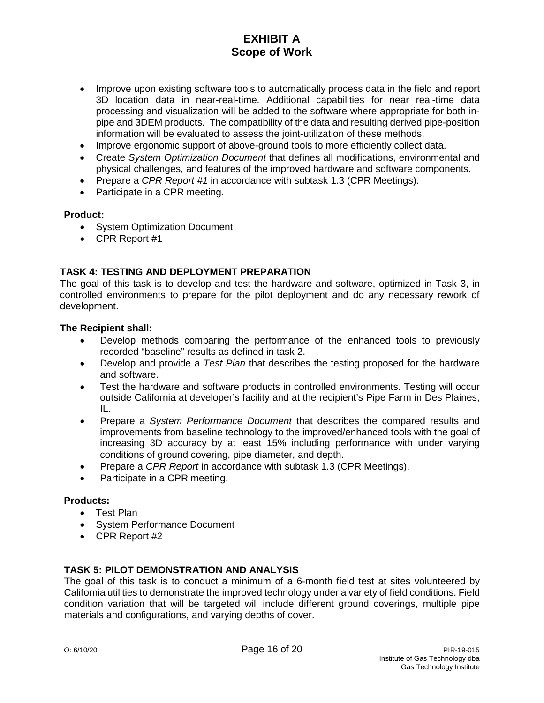- Improve upon existing software tools to automatically process data in the field and report 3D location data in near-real-time. Additional capabilities for near real-time data processing and visualization will be added to the software where appropriate for both inpipe and 3DEM products. The compatibility of the data and resulting derived pipe-position information will be evaluated to assess the joint-utilization of these methods.
- Improve ergonomic support of above-ground tools to more efficiently collect data.
- Create *System Optimization Document* that defines all modifications, environmental and physical challenges, and features of the improved hardware and software components.
- Prepare a *CPR Report #1* in accordance with subtask 1.3 (CPR Meetings).
- Participate in a CPR meeting.

## **Product:**

- System Optimization Document
- CPR Report #1

## **TASK 4: TESTING AND DEPLOYMENT PREPARATION**

The goal of this task is to develop and test the hardware and software, optimized in Task 3, in controlled environments to prepare for the pilot deployment and do any necessary rework of development.

### **The Recipient shall:**

- Develop methods comparing the performance of the enhanced tools to previously recorded "baseline" results as defined in task 2.
- Develop and provide a *Test Plan* that describes the testing proposed for the hardware and software.
- Test the hardware and software products in controlled environments. Testing will occur outside California at developer's facility and at the recipient's Pipe Farm in Des Plaines, IL.
- Prepare a *System Performance Document* that describes the compared results and improvements from baseline technology to the improved/enhanced tools with the goal of increasing 3D accuracy by at least 15% including performance with under varying conditions of ground covering, pipe diameter, and depth.
- Prepare a *CPR Report* in accordance with subtask 1.3 (CPR Meetings).
- Participate in a CPR meeting.

## **Products:**

- Test Plan
- System Performance Document
- CPR Report #2

## **TASK 5: PILOT DEMONSTRATION AND ANALYSIS**

The goal of this task is to conduct a minimum of a 6-month field test at sites volunteered by California utilities to demonstrate the improved technology under a variety of field conditions. Field condition variation that will be targeted will include different ground coverings, multiple pipe materials and configurations, and varying depths of cover.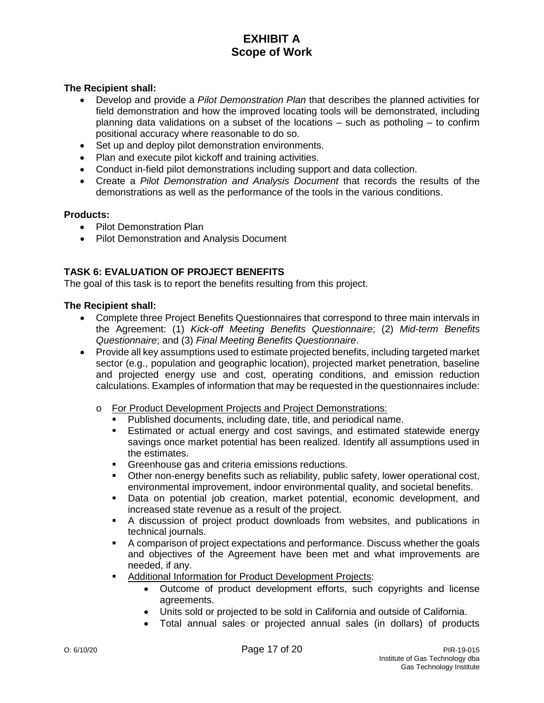## **The Recipient shall:**

- Develop and provide a *Pilot Demonstration Plan* that describes the planned activities for field demonstration and how the improved locating tools will be demonstrated, including planning data validations on a subset of the locations – such as potholing – to confirm positional accuracy where reasonable to do so.
- Set up and deploy pilot demonstration environments.
- Plan and execute pilot kickoff and training activities.
- Conduct in-field pilot demonstrations including support and data collection.
- Create a *Pilot Demonstration and Analysis Document* that records the results of the demonstrations as well as the performance of the tools in the various conditions.

#### **Products:**

- Pilot Demonstration Plan
- Pilot Demonstration and Analysis Document

## **TASK 6: EVALUATION OF PROJECT BENEFITS**

The goal of this task is to report the benefits resulting from this project.

- Complete three Project Benefits Questionnaires that correspond to three main intervals in the Agreement: (1) *Kick-off Meeting Benefits Questionnaire*; (2) *Mid-term Benefits Questionnaire*; and (3) *Final Meeting Benefits Questionnaire*.
- Provide all key assumptions used to estimate projected benefits, including targeted market sector (e.g., population and geographic location), projected market penetration, baseline and projected energy use and cost, operating conditions, and emission reduction calculations. Examples of information that may be requested in the questionnaires include:
	- o For Product Development Projects and Project Demonstrations:
		- Published documents, including date, title, and periodical name.
		- Estimated or actual energy and cost savings, and estimated statewide energy savings once market potential has been realized. Identify all assumptions used in the estimates.
		- **Greenhouse gas and criteria emissions reductions.**
		- Other non-energy benefits such as reliability, public safety, lower operational cost, environmental improvement, indoor environmental quality, and societal benefits.
		- Data on potential job creation, market potential, economic development, and increased state revenue as a result of the project.
		- A discussion of project product downloads from websites, and publications in technical journals.
		- A comparison of project expectations and performance. Discuss whether the goals and objectives of the Agreement have been met and what improvements are needed, if any.
		- **Additional Information for Product Development Projects:** 
			- Outcome of product development efforts, such copyrights and license agreements.
			- Units sold or projected to be sold in California and outside of California.
			- Total annual sales or projected annual sales (in dollars) of products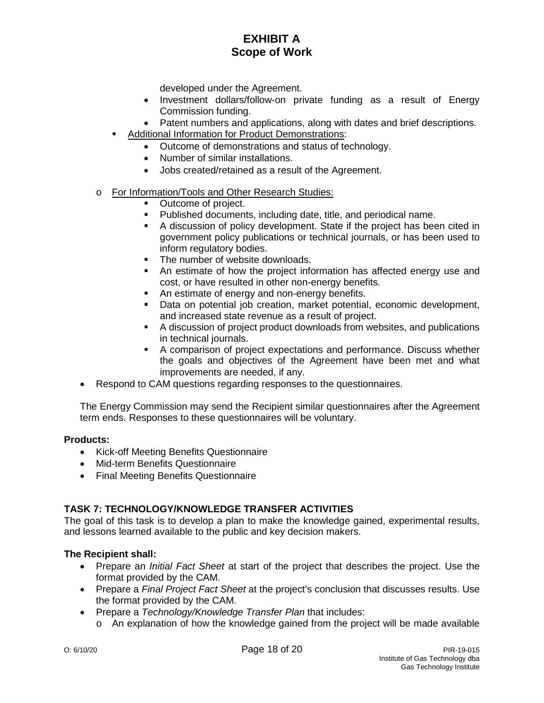developed under the Agreement.

- Investment dollars/follow-on private funding as a result of Energy Commission funding.
- Patent numbers and applications, along with dates and brief descriptions.
- Additional Information for Product Demonstrations:
	- Outcome of demonstrations and status of technology.
	- Number of similar installations.
	- Jobs created/retained as a result of the Agreement.
- o For Information/Tools and Other Research Studies:
	- Outcome of project.
	- Published documents, including date, title, and periodical name.
	- A discussion of policy development. State if the project has been cited in government policy publications or technical journals, or has been used to inform regulatory bodies.
	- The number of website downloads.
	- An estimate of how the project information has affected energy use and cost, or have resulted in other non-energy benefits.
	- An estimate of energy and non-energy benefits.
	- Data on potential job creation, market potential, economic development, and increased state revenue as a result of project.
	- A discussion of project product downloads from websites, and publications in technical journals.
	- A comparison of project expectations and performance. Discuss whether the goals and objectives of the Agreement have been met and what improvements are needed, if any.
- Respond to CAM questions regarding responses to the questionnaires.

The Energy Commission may send the Recipient similar questionnaires after the Agreement term ends. Responses to these questionnaires will be voluntary.

## **Products:**

- Kick-off Meeting Benefits Questionnaire
- Mid-term Benefits Questionnaire
- Final Meeting Benefits Questionnaire

## **TASK 7: TECHNOLOGY/KNOWLEDGE TRANSFER ACTIVITIES**

The goal of this task is to develop a plan to make the knowledge gained, experimental results, and lessons learned available to the public and key decision makers.

- Prepare an *Initial Fact Sheet* at start of the project that describes the project. Use the format provided by the CAM.
- Prepare a *Final Project Fact Sheet* at the project's conclusion that discusses results. Use the format provided by the CAM.
- Prepare a *Technology/Knowledge Transfer Plan* that includes:
	- o An explanation of how the knowledge gained from the project will be made available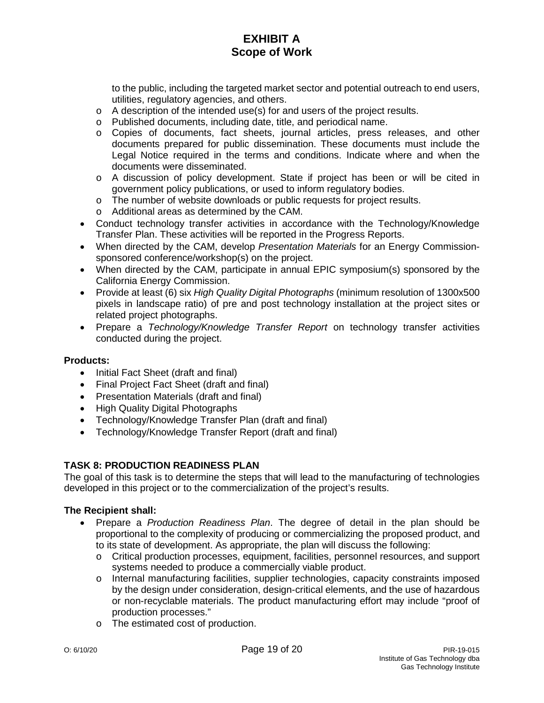to the public, including the targeted market sector and potential outreach to end users, utilities, regulatory agencies, and others.

- o A description of the intended use(s) for and users of the project results.
- o Published documents, including date, title, and periodical name.
- o Copies of documents, fact sheets, journal articles, press releases, and other documents prepared for public dissemination. These documents must include the Legal Notice required in the terms and conditions. Indicate where and when the documents were disseminated.
- o A discussion of policy development. State if project has been or will be cited in government policy publications, or used to inform regulatory bodies.
- o The number of website downloads or public requests for project results.
- o Additional areas as determined by the CAM.
- Conduct technology transfer activities in accordance with the Technology/Knowledge Transfer Plan. These activities will be reported in the Progress Reports.
- When directed by the CAM, develop *Presentation Materials* for an Energy Commissionsponsored conference/workshop(s) on the project.
- When directed by the CAM, participate in annual EPIC symposium(s) sponsored by the California Energy Commission.
- Provide at least (6) six *High Quality Digital Photographs* (minimum resolution of 1300x500 pixels in landscape ratio) of pre and post technology installation at the project sites or related project photographs.
- Prepare a *Technology/Knowledge Transfer Report* on technology transfer activities conducted during the project.

## **Products:**

- Initial Fact Sheet (draft and final)
- Final Project Fact Sheet (draft and final)
- Presentation Materials (draft and final)
- High Quality Digital Photographs
- Technology/Knowledge Transfer Plan (draft and final)
- Technology/Knowledge Transfer Report (draft and final)

## **TASK 8: PRODUCTION READINESS PLAN**

The goal of this task is to determine the steps that will lead to the manufacturing of technologies developed in this project or to the commercialization of the project's results.

- Prepare a *Production Readiness Plan*. The degree of detail in the plan should be proportional to the complexity of producing or commercializing the proposed product, and to its state of development. As appropriate, the plan will discuss the following:
	- o Critical production processes, equipment, facilities, personnel resources, and support systems needed to produce a commercially viable product.
	- o Internal manufacturing facilities, supplier technologies, capacity constraints imposed by the design under consideration, design-critical elements, and the use of hazardous or non-recyclable materials. The product manufacturing effort may include "proof of production processes."
	- o The estimated cost of production.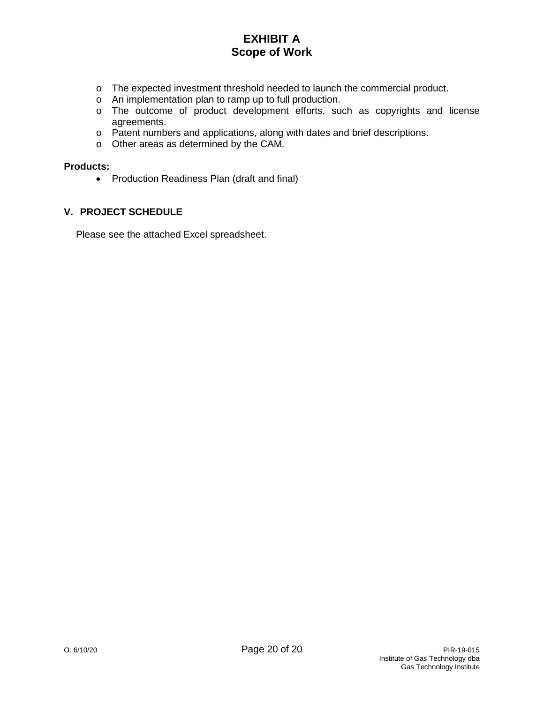- o The expected investment threshold needed to launch the commercial product.
- o An implementation plan to ramp up to full production.
- o The outcome of product development efforts, such as copyrights and license agreements.
- o Patent numbers and applications, along with dates and brief descriptions.
- o Other areas as determined by the CAM.

#### **Products:**

• Production Readiness Plan (draft and final)

### **V. PROJECT SCHEDULE**

Please see the attached Excel spreadsheet.